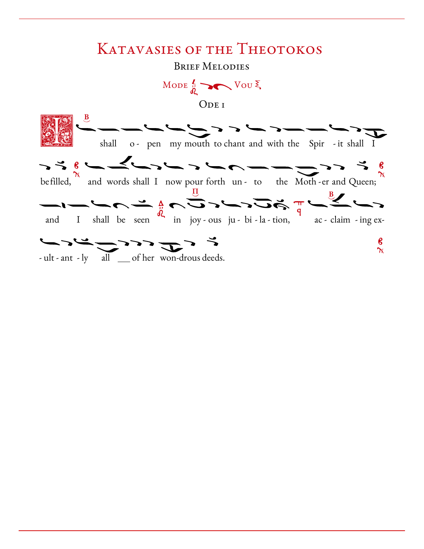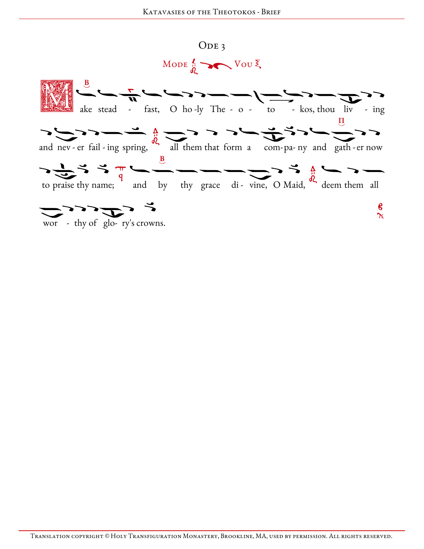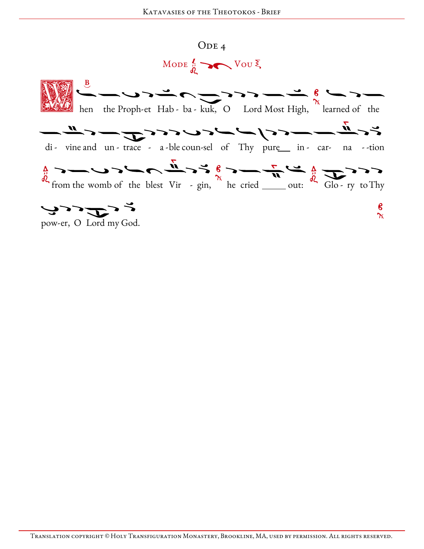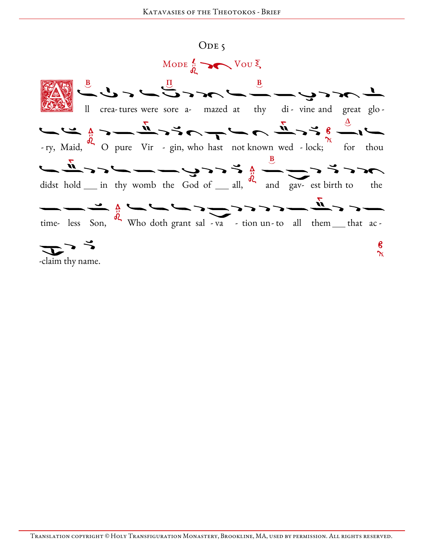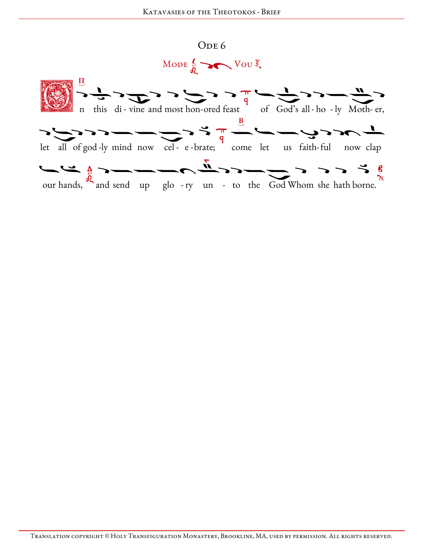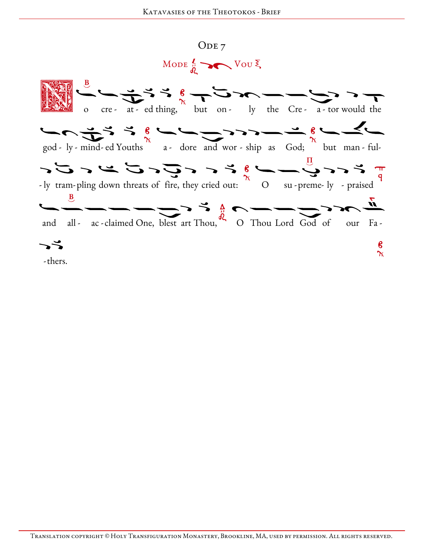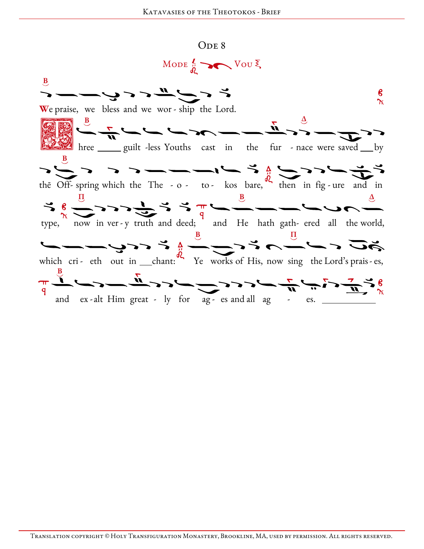